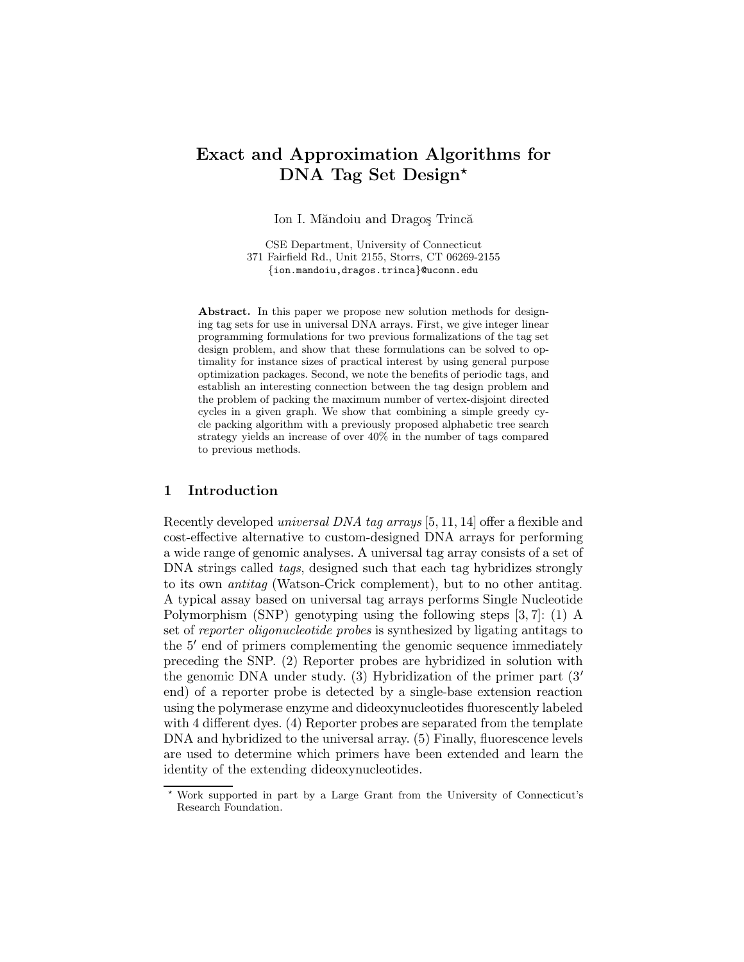# Exact and Approximation Algorithms for DNA Tag Set Design\*

Ion I. Măndoiu and Dragos Trincă

CSE Department, University of Connecticut 371 Fairfield Rd., Unit 2155, Storrs, CT 06269-2155 {ion.mandoiu,dragos.trinca}@uconn.edu

Abstract. In this paper we propose new solution methods for designing tag sets for use in universal DNA arrays. First, we give integer linear programming formulations for two previous formalizations of the tag set design problem, and show that these formulations can be solved to optimality for instance sizes of practical interest by using general purpose optimization packages. Second, we note the benefits of periodic tags, and establish an interesting connection between the tag design problem and the problem of packing the maximum number of vertex-disjoint directed cycles in a given graph. We show that combining a simple greedy cycle packing algorithm with a previously proposed alphabetic tree search strategy yields an increase of over 40% in the number of tags compared to previous methods.

### 1 Introduction

Recently developed universal DNA tag arrays [5, 11, 14] offer a flexible and cost-effective alternative to custom-designed DNA arrays for performing a wide range of genomic analyses. A universal tag array consists of a set of DNA strings called *tags*, designed such that each tag hybridizes strongly to its own antitag (Watson-Crick complement), but to no other antitag. A typical assay based on universal tag arrays performs Single Nucleotide Polymorphism (SNP) genotyping using the following steps [3, 7]: (1) A set of reporter oligonucleotide probes is synthesized by ligating antitags to the 5' end of primers complementing the genomic sequence immediately preceding the SNP. (2) Reporter probes are hybridized in solution with the genomic DNA under study. (3) Hybridization of the primer part  $(3)$ end) of a reporter probe is detected by a single-base extension reaction using the polymerase enzyme and dideoxynucleotides fluorescently labeled with 4 different dyes. (4) Reporter probes are separated from the template DNA and hybridized to the universal array. (5) Finally, fluorescence levels are used to determine which primers have been extended and learn the identity of the extending dideoxynucleotides.

<sup>?</sup> Work supported in part by a Large Grant from the University of Connecticut's Research Foundation.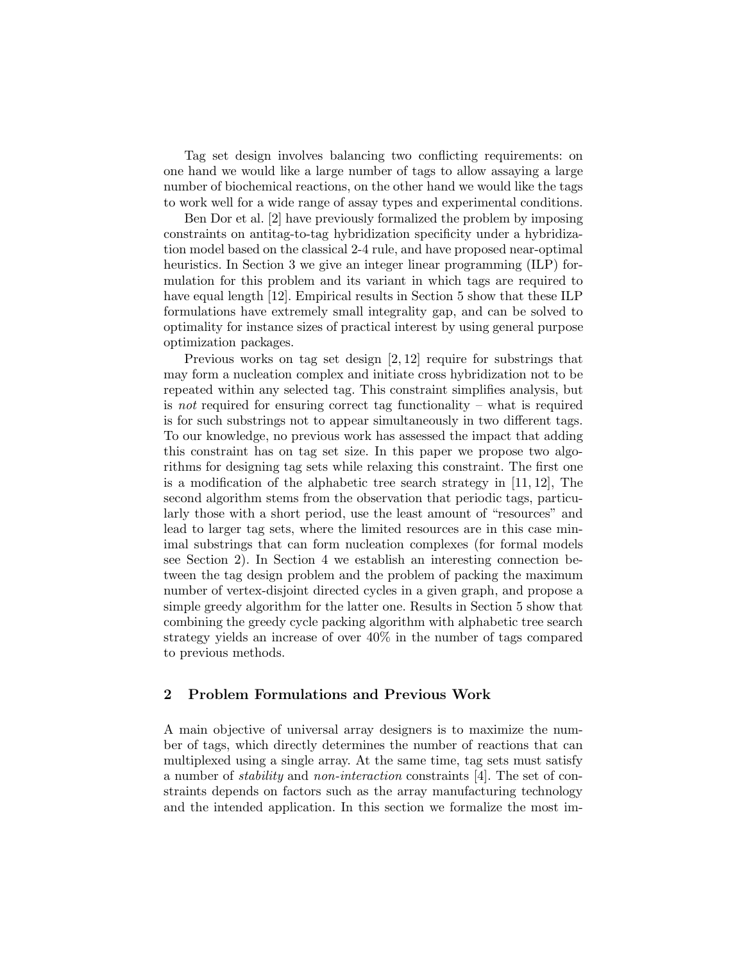Tag set design involves balancing two conflicting requirements: on one hand we would like a large number of tags to allow assaying a large number of biochemical reactions, on the other hand we would like the tags to work well for a wide range of assay types and experimental conditions.

Ben Dor et al. [2] have previously formalized the problem by imposing constraints on antitag-to-tag hybridization specificity under a hybridization model based on the classical 2-4 rule, and have proposed near-optimal heuristics. In Section 3 we give an integer linear programming (ILP) formulation for this problem and its variant in which tags are required to have equal length [12]. Empirical results in Section 5 show that these ILP formulations have extremely small integrality gap, and can be solved to optimality for instance sizes of practical interest by using general purpose optimization packages.

Previous works on tag set design [2, 12] require for substrings that may form a nucleation complex and initiate cross hybridization not to be repeated within any selected tag. This constraint simplifies analysis, but is not required for ensuring correct tag functionality – what is required is for such substrings not to appear simultaneously in two different tags. To our knowledge, no previous work has assessed the impact that adding this constraint has on tag set size. In this paper we propose two algorithms for designing tag sets while relaxing this constraint. The first one is a modification of the alphabetic tree search strategy in [11, 12], The second algorithm stems from the observation that periodic tags, particularly those with a short period, use the least amount of "resources" and lead to larger tag sets, where the limited resources are in this case minimal substrings that can form nucleation complexes (for formal models see Section 2). In Section 4 we establish an interesting connection between the tag design problem and the problem of packing the maximum number of vertex-disjoint directed cycles in a given graph, and propose a simple greedy algorithm for the latter one. Results in Section 5 show that combining the greedy cycle packing algorithm with alphabetic tree search strategy yields an increase of over 40% in the number of tags compared to previous methods.

## 2 Problem Formulations and Previous Work

A main objective of universal array designers is to maximize the number of tags, which directly determines the number of reactions that can multiplexed using a single array. At the same time, tag sets must satisfy a number of stability and non-interaction constraints [4]. The set of constraints depends on factors such as the array manufacturing technology and the intended application. In this section we formalize the most im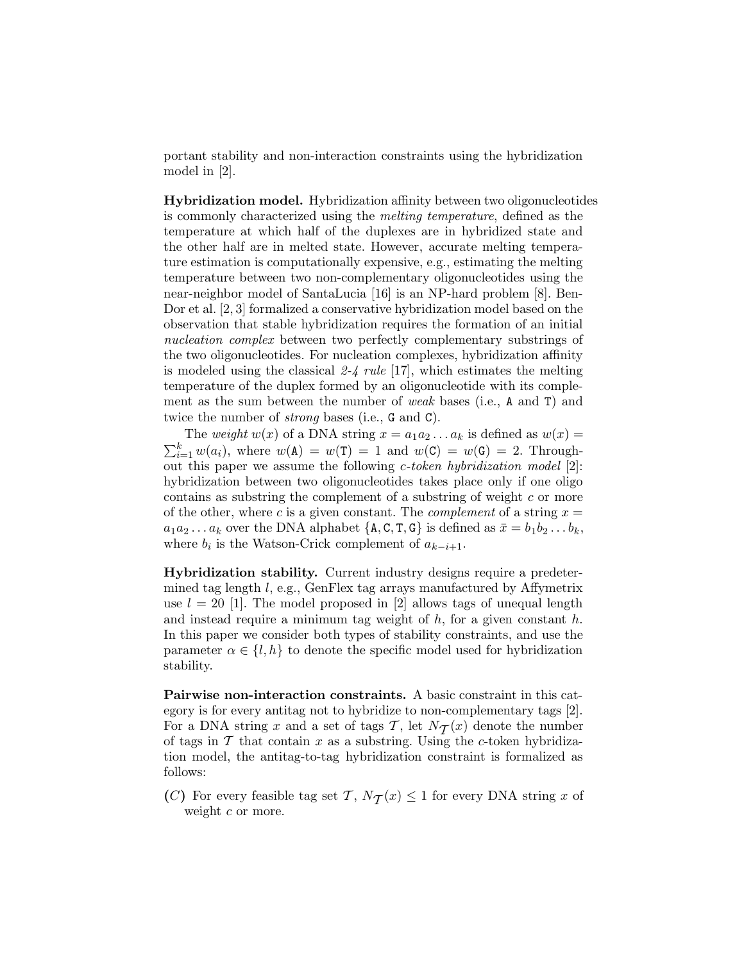portant stability and non-interaction constraints using the hybridization model in [2].

Hybridization model. Hybridization affinity between two oligonucleotides is commonly characterized using the melting temperature, defined as the temperature at which half of the duplexes are in hybridized state and the other half are in melted state. However, accurate melting temperature estimation is computationally expensive, e.g., estimating the melting temperature between two non-complementary oligonucleotides using the near-neighbor model of SantaLucia [16] is an NP-hard problem [8]. Ben-Dor et al. [2, 3] formalized a conservative hybridization model based on the observation that stable hybridization requires the formation of an initial nucleation complex between two perfectly complementary substrings of the two oligonucleotides. For nucleation complexes, hybridization affinity is modeled using the classical  $2-4$  rule [17], which estimates the melting temperature of the duplex formed by an oligonucleotide with its complement as the sum between the number of weak bases (i.e., A and T) and twice the number of *strong* bases (i.e., G and C).

The *weight*  $w(x)$  of a DNA string  $x = a_1 a_2 ... a_k$  is defined as  $w(x) =$  $\sum_{i=1}^{k} w(a_i)$ , where  $w(A) = w(T) = 1$  and  $w(C) = w(G) = 2$ . Throughout this paper we assume the following c-token hybridization model [2]: hybridization between two oligonucleotides takes place only if one oligo contains as substring the complement of a substring of weight c or more of the other, where c is a given constant. The *complement* of a string  $x =$  $a_1a_2 \ldots a_k$  over the DNA alphabet  $\{A, C, T, G\}$  is defined as  $\bar{x} = b_1b_2 \ldots b_k$ , where  $b_i$  is the Watson-Crick complement of  $a_{k-i+1}$ .

Hybridization stability. Current industry designs require a predetermined tag length l, e.g., GenFlex tag arrays manufactured by Affymetrix use  $l = 20$  [1]. The model proposed in [2] allows tags of unequal length and instead require a minimum tag weight of  $h$ , for a given constant  $h$ . In this paper we consider both types of stability constraints, and use the parameter  $\alpha \in \{l, h\}$  to denote the specific model used for hybridization stability.

Pairwise non-interaction constraints. A basic constraint in this category is for every antitag not to hybridize to non-complementary tags [2]. For a DNA string x and a set of tags  $\mathcal{T}$ , let  $N_{\mathcal{T}}(x)$  denote the number<br>of tags in  $\mathcal{T}$  that contain x as a substring. Heing the c token bybridize of tags in  $\mathcal T$  that contain  $x$  as a substring. Using the c-token hybridization model, the antitag-to-tag hybridization constraint is formalized as follows:

(C) For every feasible tag set T,  $N_T(x) \leq 1$  for every DNA string x of work c or more weight  $c$  or more.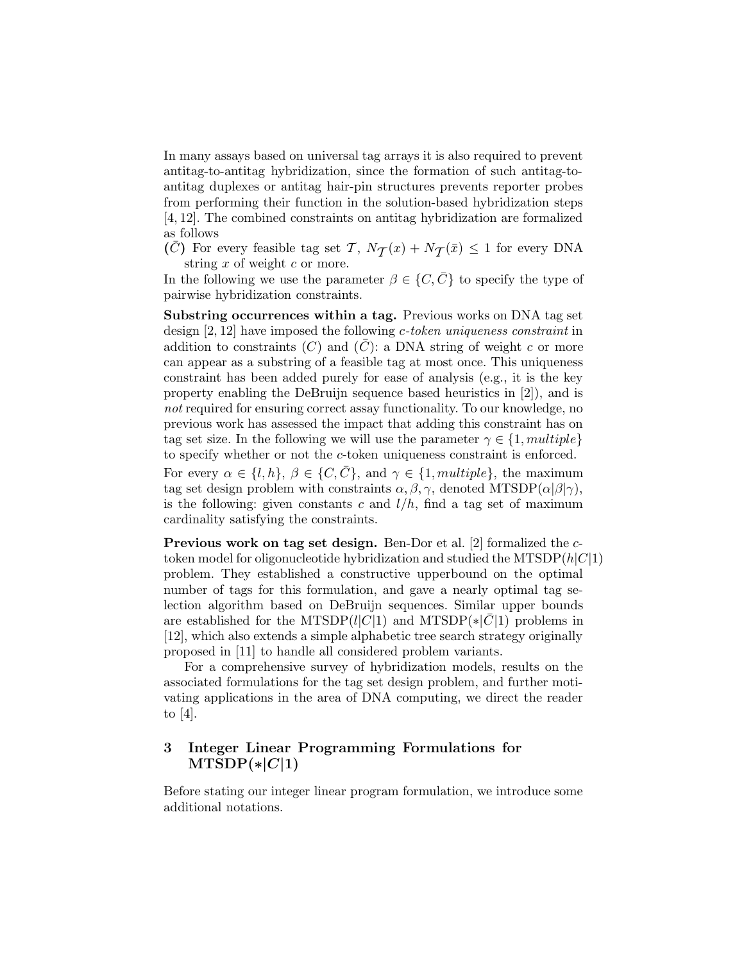In many assays based on universal tag arrays it is also required to prevent antitag-to-antitag hybridization, since the formation of such antitag-toantitag duplexes or antitag hair-pin structures prevents reporter probes from performing their function in the solution-based hybridization steps [4, 12]. The combined constraints on antitag hybridization are formalized as follows

 $(\bar{C})$  For every feasible tag set  $\mathcal{T}$ ,  $N_{\mathcal{T}}(x) + N_{\mathcal{T}}(\bar{x}) \leq 1$  for every DNA string  $x$  of weight  $c$  or more.

In the following we use the parameter  $\beta \in \{C, \bar{C}\}\$ to specify the type of pairwise hybridization constraints.

Substring occurrences within a tag. Previous works on DNA tag set design [2, 12] have imposed the following c-token uniqueness constraint in addition to constraints  $(C)$  and  $(\overline{C})$ : a DNA string of weight c or more can appear as a substring of a feasible tag at most once. This uniqueness constraint has been added purely for ease of analysis (e.g., it is the key property enabling the DeBruijn sequence based heuristics in [2]), and is not required for ensuring correct assay functionality. To our knowledge, no previous work has assessed the impact that adding this constraint has on tag set size. In the following we will use the parameter  $\gamma \in \{1, multiple\}$ to specify whether or not the c-token uniqueness constraint is enforced.

For every  $\alpha \in \{l, h\}, \beta \in \{C, \overline{C}\},\$  and  $\gamma \in \{1, multiple\},\$  the maximum tag set design problem with constraints  $\alpha, \beta, \gamma$ , denoted MTSDP( $\alpha|\beta|\gamma$ ), is the following: given constants c and  $l/h$ , find a tag set of maximum cardinality satisfying the constraints.

Previous work on tag set design. Ben-Dor et al. [2] formalized the ctoken model for oligonucleotide hybridization and studied the  $MTSDP(h|C|1)$ problem. They established a constructive upperbound on the optimal number of tags for this formulation, and gave a nearly optimal tag selection algorithm based on DeBruijn sequences. Similar upper bounds are established for the MTSDP( $l|C|1$ ) and MTSDP( $\ast|C|1$ ) problems in [12], which also extends a simple alphabetic tree search strategy originally proposed in [11] to handle all considered problem variants.

For a comprehensive survey of hybridization models, results on the associated formulations for the tag set design problem, and further motivating applications in the area of DNA computing, we direct the reader to [4].

## 3 Integer Linear Programming Formulations for  $MTSDP(*|C|1)$

Before stating our integer linear program formulation, we introduce some additional notations.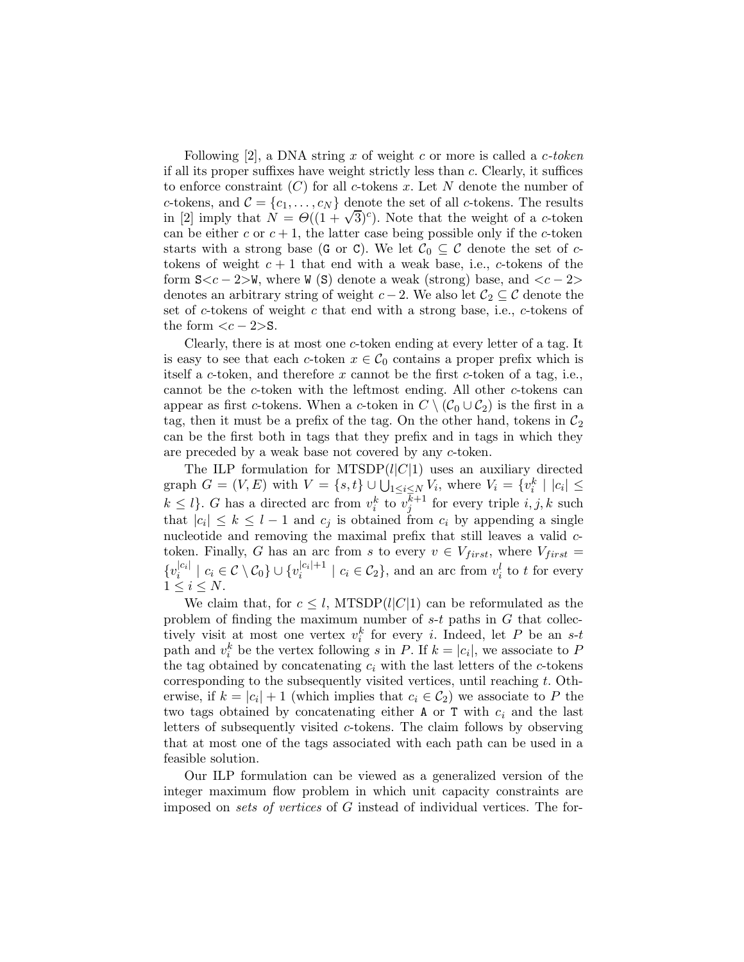Following [2], a DNA string x of weight c or more is called a  $c\text{-}token$ if all its proper suffixes have weight strictly less than c. Clearly, it suffices to enforce constraint  $(C)$  for all c-tokens x. Let N denote the number of c-tokens, and  $\mathcal{C} = \{c_1, \ldots, c_N\}$  denote the set of all c-tokens. The results in [2] imply that  $N = \Theta((1+\sqrt{3})^c)$ . Note that the weight of a *c*-token can be either c or  $c + 1$ , the latter case being possible only if the c-token starts with a strong base (G or C). We let  $C_0 \subseteq C$  denote the set of ctokens of weight  $c + 1$  that end with a weak base, i.e., c-tokens of the form  $S\lt c-2\llbracket \cdot \rrbracket$ , where W (S) denote a weak (strong) base, and  $\lt c-2\ll$ denotes an arbitrary string of weight  $c - 2$ . We also let  $C_2 \subseteq C$  denote the set of c-tokens of weight c that end with a strong base, i.e., c-tokens of the form  $\langle c - 2 \rangle$ S.

Clearly, there is at most one c-token ending at every letter of a tag. It is easy to see that each c-token  $x \in C_0$  contains a proper prefix which is itself a c-token, and therefore x cannot be the first c-token of a tag, i.e., cannot be the c-token with the leftmost ending. All other c-tokens can appear as first c-tokens. When a c-token in  $C \setminus (C_0 \cup C_2)$  is the first in a tag, then it must be a prefix of the tag. On the other hand, tokens in  $\mathcal{C}_2$ can be the first both in tags that they prefix and in tags in which they are preceded by a weak base not covered by any c-token.

The ILP formulation for MTSDP $(l|C|1)$  uses an auxiliary directed graph  $G = (V, E)$  with  $V = \{s, t\} \cup \bigcup_{1 \leq i \leq N} V_i$ , where  $V_i = \{v_i^k \mid |c_i| \leq$  $k \leq l$ . G has a directed arc from  $v_i^k$  to  $v_j^{k+1}$  for every triple  $i, j, k$  such that  $|c_i| \leq k \leq l-1$  and  $c_j$  is obtained from  $c_i$  by appending a single nucleotide and removing the maximal prefix that still leaves a valid ctoken. Finally, G has an arc from s to every  $v \in V_{first}$ , where  $V_{first}$  $\{v_i^{|c_i|}$  $|c_i| \mid c_i \in \mathcal{C} \setminus \mathcal{C}_0$   $\cup$   $\{v_i^{|c_i|+1}\}$  $|c_i|^{t+1}$  |  $c_i \in C_2$ , and an arc from  $v_i^l$  to t for every  $1 \leq i \leq N$ .

We claim that, for  $c \leq l$ , MTSDP(l|C|1) can be reformulated as the problem of finding the maximum number of  $s-t$  paths in  $G$  that collectively visit at most one vertex  $v_i^k$  for every i. Indeed, let P be an s-t path and  $v_i^k$  be the vertex following s in P. If  $k = |c_i|$ , we associate to P the tag obtained by concatenating  $c_i$  with the last letters of the c-tokens corresponding to the subsequently visited vertices, until reaching  $t$ . Otherwise, if  $k = |c_i| + 1$  (which implies that  $c_i \in C_2$ ) we associate to P the two tags obtained by concatenating either  $A$  or  $T$  with  $c_i$  and the last letters of subsequently visited c-tokens. The claim follows by observing that at most one of the tags associated with each path can be used in a feasible solution.

Our ILP formulation can be viewed as a generalized version of the integer maximum flow problem in which unit capacity constraints are imposed on sets of vertices of G instead of individual vertices. The for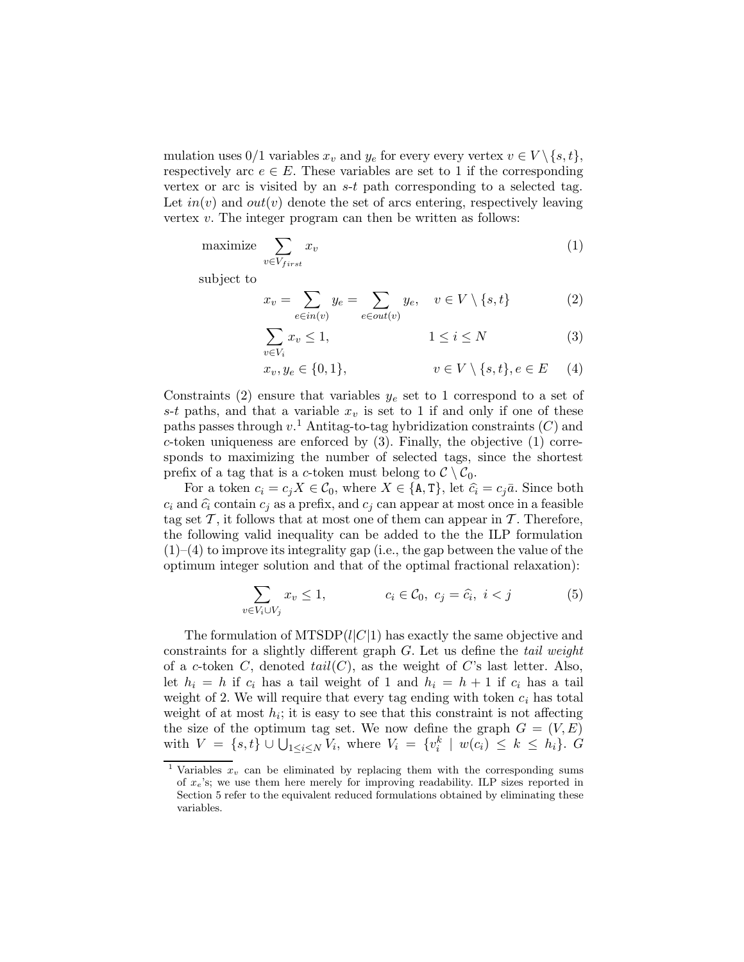mulation uses 0/1 variables  $x_v$  and  $y_e$  for every every vertex  $v \in V \setminus \{s,t\},$ respectively arc  $e \in E$ . These variables are set to 1 if the corresponding vertex or arc is visited by an  $s-t$  path corresponding to a selected tag. Let  $in(v)$  and  $out(v)$  denote the set of arcs entering, respectively leaving vertex  $v$ . The integer program can then be written as follows:

$$
\text{maximize } \sum_{v \in V_{first}} x_v \tag{1}
$$

subject to

$$
x_v = \sum_{e \in in(v)} y_e = \sum_{e \in out(v)} y_e, \quad v \in V \setminus \{s, t\}
$$
 (2)

$$
\sum_{v \in V_i} x_v \le 1, \qquad \qquad 1 \le i \le N \tag{3}
$$

$$
x_v, y_e \in \{0, 1\}, \qquad v \in V \setminus \{s, t\}, e \in E \qquad (4)
$$

Constraints (2) ensure that variables  $y_e$  set to 1 correspond to a set of s-t paths, and that a variable  $x_v$  is set to 1 if and only if one of these paths passes through  $v<sup>1</sup>$  Antitag-to-tag hybridization constraints  $(C)$  and c-token uniqueness are enforced by  $(3)$ . Finally, the objective  $(1)$  corresponds to maximizing the number of selected tags, since the shortest prefix of a tag that is a c-token must belong to  $\mathcal{C} \setminus \mathcal{C}_0$ .

For a token  $c_i = c_j X \in \mathcal{C}_0$ , where  $X \in \{A, T\}$ , let  $\hat{c}_i = c_j \bar{a}$ . Since both  $c_i$  and  $\hat{c}_i$  contain  $c_j$  as a prefix, and  $c_j$  can appear at most once in a feasible tag set  $\mathcal{T}$ , it follows that at most one of them can appear in  $\mathcal{T}$ . Therefore, the following valid inequality can be added to the the ILP formulation  $(1)$ – $(4)$  to improve its integrality gap (i.e., the gap between the value of the optimum integer solution and that of the optimal fractional relaxation):

$$
\sum_{v \in V_i \cup V_j} x_v \le 1, \qquad c_i \in \mathcal{C}_0, \ c_j = \widehat{c}_i, \ i < j \tag{5}
$$

The formulation of  $MTSDP(l|C|1)$  has exactly the same objective and constraints for a slightly different graph G. Let us define the tail weight of a c-token C, denoted  $tail(C)$ , as the weight of C's last letter. Also, let  $h_i = h$  if  $c_i$  has a tail weight of 1 and  $h_i = h + 1$  if  $c_i$  has a tail weight of 2. We will require that every tag ending with token  $c_i$  has total weight of at most  $h_i$ ; it is easy to see that this constraint is not affecting the size of the optimum tag set. We now define the graph  $G = (V, E)$ with  $V = \{s, t\} \cup \bigcup_{1 \le i \le N} V_i$ , where  $V_i = \{v_i^k \mid w(c_i) \le k \le h_i\}$ .  $G$ 

Variables  $x_v$  can be eliminated by replacing them with the corresponding sums of  $x_e$ 's; we use them here merely for improving readability. ILP sizes reported in Section 5 refer to the equivalent reduced formulations obtained by eliminating these variables.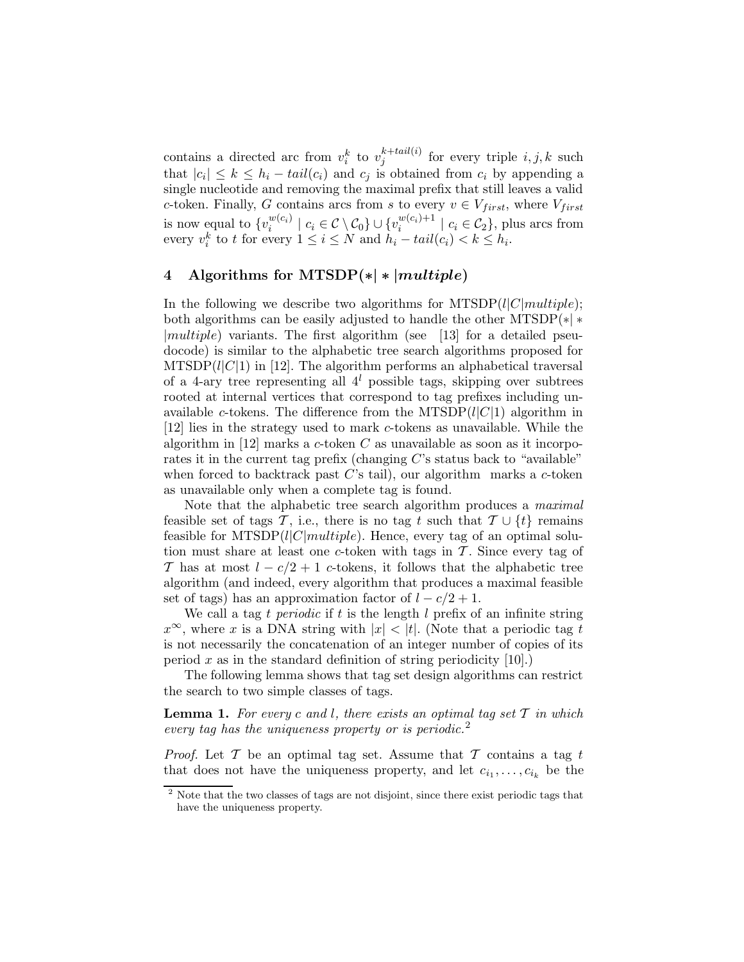contains a directed arc from  $v_i^k$  to  $v_j^{k+tail(i)}$  $j_j^{k+tan(i)}$  for every triple  $i, j, k$  such that  $|c_i| \leq k \leq h_i - tail(c_i)$  and  $c_j$  is obtained from  $c_i$  by appending a single nucleotide and removing the maximal prefix that still leaves a valid c-token. Finally, G contains arcs from s to every  $v \in V_{first}$ , where  $V_{first}$ is now equal to  $\{v_i^{w(c_i)}\}$  $\mathcal{C}_i^{w(c_i)} \mid c_i \in \mathcal{C} \setminus \mathcal{C}_0 \} \cup \{v_i^{w(c_i)+1}\}$  $\left\{ \begin{array}{c} w(c_i) + 1 \\ i \end{array} \right\}$   $c_i \in \mathcal{C}_2$ , plus arcs from every  $v_i^k$  to t for every  $1 \le i \le N$  and  $h_i - tail(c_i) < k \le h_i$ .

## 4 Algorithms for MTSDP $(*)$  \*  $|multiple\rangle$

In the following we describe two algorithms for MTSDP( $l|C|multiple$ ); both algorithms can be easily adjusted to handle the other MTSDP $(*)$ |multiple) variants. The first algorithm (see [13] for a detailed pseudocode) is similar to the alphabetic tree search algorithms proposed for  $MTSDP(l|C|1)$  in [12]. The algorithm performs an alphabetical traversal of a 4-ary tree representing all  $4^l$  possible tags, skipping over subtrees rooted at internal vertices that correspond to tag prefixes including unavailable c-tokens. The difference from the MTSDP $(l|C|1)$  algorithm in [12] lies in the strategy used to mark c-tokens as unavailable. While the algorithm in [12] marks a c-token  $C$  as unavailable as soon as it incorporates it in the current tag prefix (changing  $C$ 's status back to "available" when forced to backtrack past  $C$ 's tail), our algorithm marks a c-token as unavailable only when a complete tag is found.

Note that the alphabetic tree search algorithm produces a maximal feasible set of tags T, i.e., there is no tag t such that  $\mathcal{T} \cup \{t\}$  remains feasible for  $MTSDP(l|C|multiple)$ . Hence, every tag of an optimal solution must share at least one c-token with tags in  $\mathcal T$ . Since every tag of T has at most  $l - c/2 + 1$  c-tokens, it follows that the alphabetic tree algorithm (and indeed, every algorithm that produces a maximal feasible set of tags) has an approximation factor of  $l - c/2 + 1$ .

We call a tag t periodic if t is the length  $l$  prefix of an infinite string  $x^{\infty}$ , where x is a DNA string with  $|x| < |t|$ . (Note that a periodic tag t is not necessarily the concatenation of an integer number of copies of its period x as in the standard definition of string periodicity  $[10]$ .)

The following lemma shows that tag set design algorithms can restrict the search to two simple classes of tags.

**Lemma 1.** For every c and l, there exists an optimal tag set  $T$  in which every tag has the uniqueness property or is periodic.<sup>2</sup>

*Proof.* Let  $\mathcal T$  be an optimal tag set. Assume that  $\mathcal T$  contains a tag t that does not have the uniqueness property, and let  $c_{i_1}, \ldots, c_{i_k}$  be the

<sup>2</sup> Note that the two classes of tags are not disjoint, since there exist periodic tags that have the uniqueness property.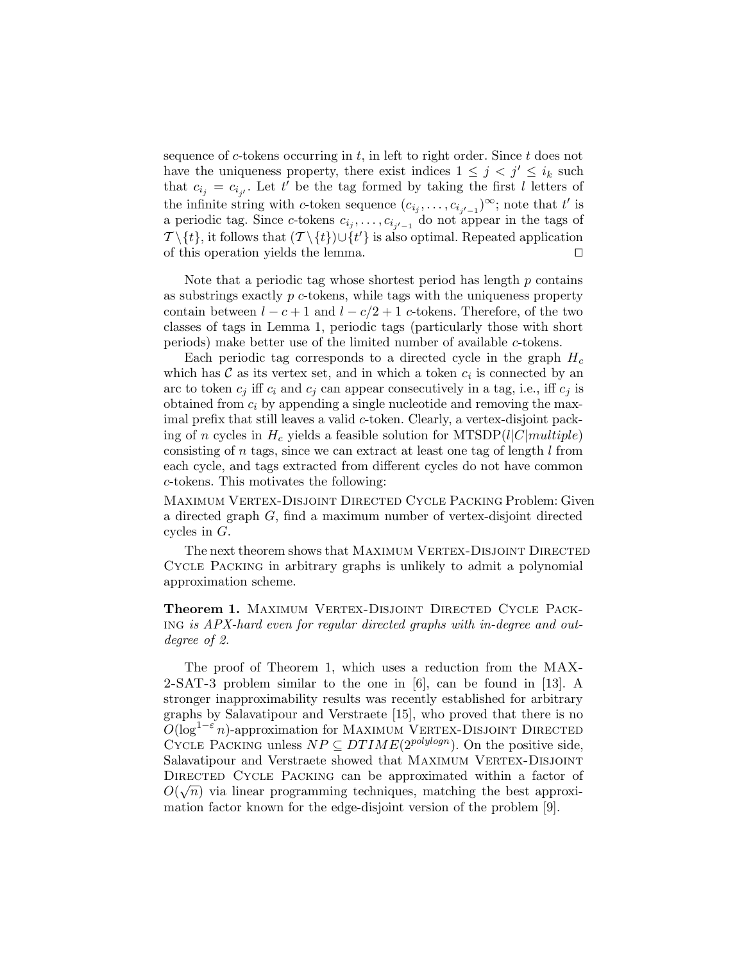sequence of c-tokens occurring in  $t$ , in left to right order. Since  $t$  does not have the uniqueness property, there exist indices  $1 \leq j \leq i_k$  such that  $c_{i_j} = c_{i_{j'}}$ . Let t' be the tag formed by taking the first l letters of the infinite string with c-token sequence  $(c_{i_j}, \ldots, c_{i_{j'-1}})^{\infty}$ ; note that t' is a periodic tag. Since c-tokens  $c_{i_j}, \ldots, c_{i_{j'-1}}$  do not appear in the tags of  $\mathcal{T} \setminus \{t\}$ , it follows that  $(\mathcal{T} \setminus \{t\}) \cup \{t'\}$  is also optimal. Repeated application of this operation yields the lemma.  $\Box$ 

Note that a periodic tag whose shortest period has length  $p$  contains as substrings exactly  $p$  c-tokens, while tags with the uniqueness property contain between  $l - c + 1$  and  $l - c/2 + 1$  c-tokens. Therefore, of the two classes of tags in Lemma 1, periodic tags (particularly those with short periods) make better use of the limited number of available c-tokens.

Each periodic tag corresponds to a directed cycle in the graph  $H_c$ which has  $\mathcal C$  as its vertex set, and in which a token  $c_i$  is connected by an arc to token  $c_i$  iff  $c_i$  and  $c_j$  can appear consecutively in a tag, i.e., iff  $c_j$  is obtained from  $c_i$  by appending a single nucleotide and removing the maximal prefix that still leaves a valid c-token. Clearly, a vertex-disjoint packing of n cycles in  $H_c$  yields a feasible solution for MTSDP(l|C|multiple) consisting of  $n$  tags, since we can extract at least one tag of length  $l$  from each cycle, and tags extracted from different cycles do not have common c-tokens. This motivates the following:

Maximum Vertex-Disjoint Directed Cycle Packing Problem: Given a directed graph G, find a maximum number of vertex-disjoint directed cycles in G.

The next theorem shows that MAXIMUM VERTEX-DISJOINT DIRECTED Cycle Packing in arbitrary graphs is unlikely to admit a polynomial approximation scheme.

Theorem 1. MAXIMUM VERTEX-DISJOINT DIRECTED CYCLE PACKing is APX-hard even for regular directed graphs with in-degree and outdegree of 2.

The proof of Theorem 1, which uses a reduction from the MAX-2-SAT-3 problem similar to the one in [6], can be found in [13]. A stronger inapproximability results was recently established for arbitrary graphs by Salavatipour and Verstraete [15], who proved that there is no  $O(\log^{1-\epsilon} n)$ -approximation for MAXIMUM VERTEX-DISJOINT DIRECTED CYCLE PACKING unless  $NP \subseteq DTIME(2^{polylog n})$ . On the positive side, Salavatipour and Verstraete showed that MAXIMUM VERTEX-DISJOINT DIRECTED CYCLE PACKING can be approximated within a factor of  $O(\sqrt{n})$  via linear programming techniques, matching the best approximation factor known for the edge-disjoint version of the problem [9].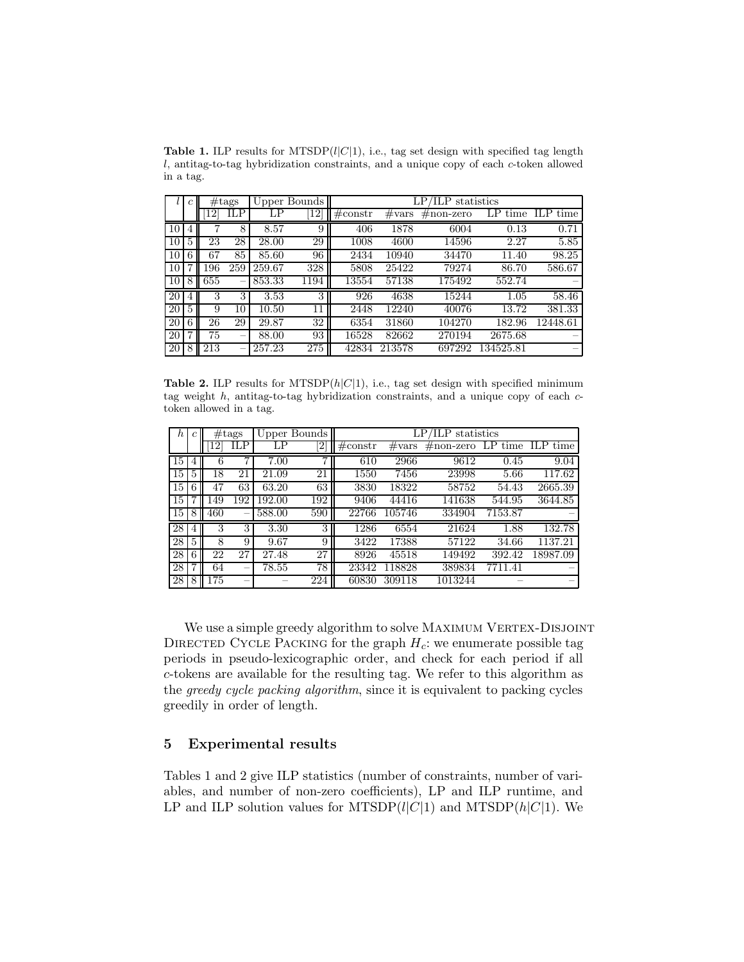Table 1. ILP results for MTSDP $(l|C|1)$ , i.e., tag set design with specified tag length l, antitag-to-tag hybridization constraints, and a unique copy of each c-token allowed in a tag.

|    | с |     | #tags |        | Upper Bounds | TLP<br>statistics |                 |           |            |            |  |
|----|---|-----|-------|--------|--------------|-------------------|-----------------|-----------|------------|------------|--|
|    |   |     | ILP   | LΡ     | 12           | $\#\text{constr}$ | $\#\text{vars}$ | #non-zero | LP<br>time | time<br>ШP |  |
| 10 |   |     | 8     | 8.57   | 9            | 406               | 1878            | 6004      | 0.13       | 0.71       |  |
| 10 | 5 | 23  | 28    | 28.00  | 29           | 1008              | 4600            | 14596     | 2.27       | 5.85       |  |
| 10 | 6 | 67  | 85    | 85.60  | 96           | 2434              | 10940           | 34470     | 11.40      | 98.25      |  |
| 10 |   | 196 | 259   | 259.67 | 328          | 5808              | 25422           | 79274     | 86.70      | 586.67     |  |
| 10 | 8 | 655 | -     | 853.33 | 1194         | 13554             | 57138           | 175492    | 552.74     |            |  |
| 20 | 4 | 3   | 3     | 3.53   | 3            | 926               | 4638            | 15244     | 1.05       | 58.46      |  |
| 20 |   | 9   | 10    | 10.50  | 11           | 2448              | 12240           | 40076     | 13.72      | 381.33     |  |
| 20 | 6 | 26  | 29    | 29.87  | 32           | 6354              | 31860           | 104270    | 182.96     | 12448.61   |  |
| 20 |   | 75  | -     | 88.00  | 93           | 16528             | 82662           | 270194    | 2675.68    |            |  |
| 20 | 8 | 213 |       | 257.23 | 275          | 42834             | 213578          | 697292    | 134525.81  |            |  |

Table 2. ILP results for MTSDP $(h|C|1)$ , i.e., tag set design with specified minimum tag weight  $h$ , antitag-to-tag hybridization constraints, and a unique copy of each  $c$ token allowed in a tag.

| h  |   | #tags |                | Upper Bounds |                | LP/ILP statistics   |                 |                     |         |                  |  |
|----|---|-------|----------------|--------------|----------------|---------------------|-----------------|---------------------|---------|------------------|--|
|    |   |       | ILP            | LΡ           | 2              | $\#\mathrm{constr}$ | $\#\text{vars}$ | $\#\text{non-zero}$ |         | LP time ILP time |  |
| 15 |   | 6     | $\overline{7}$ | 7.00         | $\overline{7}$ | 610                 | 2966            | 9612                | 0.45    | 9.04             |  |
| 15 | 5 | 18    | 21             | 21.09        | 21             | 1550                | 7456            | 23998               | 5.66    | 117.62           |  |
| 15 | 6 | 47    | 63             | 63.20        | 63             | 3830                | 18322           | 58752               | 54.43   | 2665.39          |  |
| 15 |   | 149   | 192            | 192.00       | 192            | 9406                | 44416           | 141638              | 544.95  | 3644.85          |  |
| 15 | 8 | 460   | -              | 588.00       | 590            | 22766               | 105746          | 334904              | 7153.87 |                  |  |
| 28 | 4 | 3     | 3              | 3.30         | 3              | 1286                | 6554            | 21624               | 1.88    | 132.78           |  |
| 28 | 5 | 8     | 9              | 9.67         | 9              | 3422                | 17388           | 57122               | 34.66   | 1137.21          |  |
| 28 | 6 | 22    | 27             | 27.48        | 27             | 8926                | 45518           | 149492              | 392.42  | 18987.09         |  |
| 28 |   | 64    |                | 78.55        | 78             | 23342               | 118828          | 389834              | 7711.41 |                  |  |
| 28 | 8 | 175   |                |              | 224            | 60830               | 309118          | 1013244             |         |                  |  |

We use a simple greedy algorithm to solve MAXIMUM VERTEX-DISJOINT DIRECTED CYCLE PACKING for the graph  $H_c$ : we enumerate possible tag periods in pseudo-lexicographic order, and check for each period if all c-tokens are available for the resulting tag. We refer to this algorithm as the greedy cycle packing algorithm, since it is equivalent to packing cycles greedily in order of length.

### 5 Experimental results

Tables 1 and 2 give ILP statistics (number of constraints, number of variables, and number of non-zero coefficients), LP and ILP runtime, and LP and ILP solution values for MTSDP( $l|C|1$ ) and MTSDP( $h|C|1$ ). We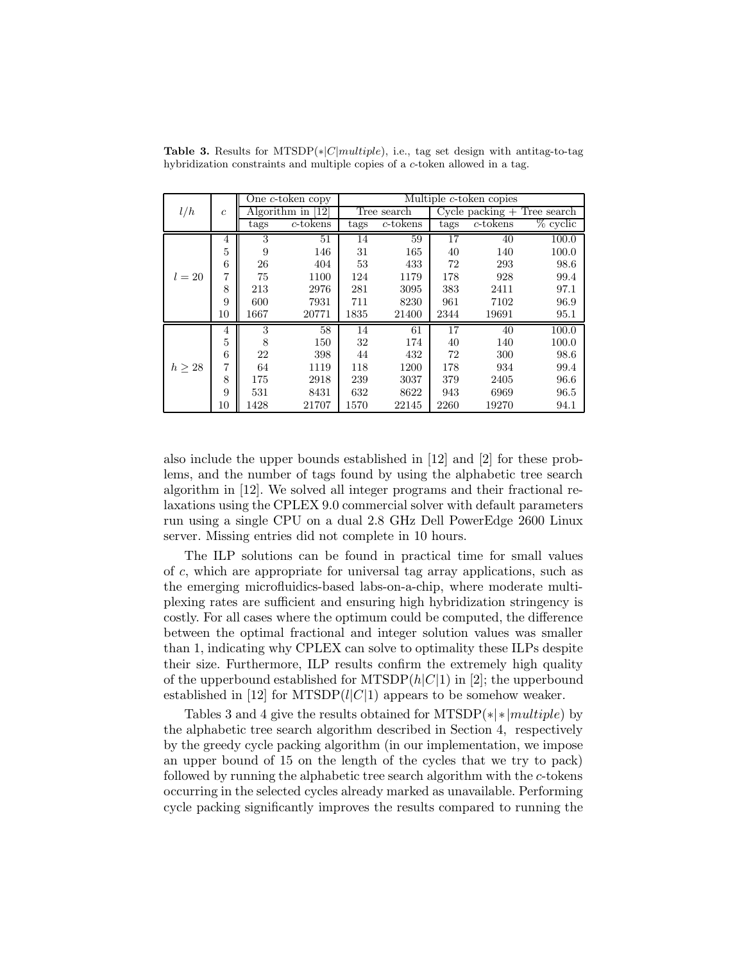|             | $\mathfrak{c}$ |                     | One $c$ -token copy | Multiple c-token copies |          |                                 |             |             |  |
|-------------|----------------|---------------------|---------------------|-------------------------|----------|---------------------------------|-------------|-------------|--|
| l/h         |                | Algorithm in $[12]$ |                     | Tree search             |          | $Cycle$ packing $+$ Tree search |             |             |  |
|             |                | tags                | $c$ -tokens         | tags                    | c-tokens | tags                            | $c$ -tokens | $\%$ cyclic |  |
|             | 4              | 3                   | 51                  | 14                      | 59       | 17                              | 40          | 100.0       |  |
|             | 5              | 9                   | 146                 | 31                      | 165      | 40                              | 140         | 100.0       |  |
|             | 6              | 26                  | 404                 | 53                      | 433      | 72                              | 293         | 98.6        |  |
| $l=20$      | 7              | 75                  | 1100                | 124                     | 1179     | 178                             | 928         | 99.4        |  |
|             | 8              | 213                 | 2976                | 281                     | 3095     | 383                             | 2411        | 97.1        |  |
|             | 9              | 600                 | 7931                | 711                     | 8230     | 961                             | 7102        | 96.9        |  |
|             | 10             | 1667                | 20771               | 1835                    | 21400    | 2344                            | 19691       | 95.1        |  |
|             | 4              | 3                   | 58                  | 14                      | 61       | 17                              | 40          | 100.0       |  |
|             | 5              | 8                   | 150                 | 32                      | 174      | 40                              | 140         | 100.0       |  |
|             | 6              | 22                  | 398                 | 44                      | 432      | 72                              | 300         | 98.6        |  |
| $h \geq 28$ | 7              | 64                  | 1119                | 118                     | 1200     | 178                             | 934         | 99.4        |  |
|             | 8              | 175                 | 2918                | 239                     | 3037     | 379                             | 2405        | 96.6        |  |
|             | 9              | 531                 | 8431                | 632                     | 8622     | 943                             | 6969        | 96.5        |  |
|             | 10             | 1428                | 21707               | 1570                    | 22145    | 2260                            | 19270       | 94.1        |  |

Table 3. Results for MTSDP( $\ast |C|$ multiple), i.e., tag set design with antitag-to-tag hybridization constraints and multiple copies of a c-token allowed in a tag.

also include the upper bounds established in [12] and [2] for these problems, and the number of tags found by using the alphabetic tree search algorithm in [12]. We solved all integer programs and their fractional relaxations using the CPLEX 9.0 commercial solver with default parameters run using a single CPU on a dual 2.8 GHz Dell PowerEdge 2600 Linux server. Missing entries did not complete in 10 hours.

The ILP solutions can be found in practical time for small values of c, which are appropriate for universal tag array applications, such as the emerging microfluidics-based labs-on-a-chip, where moderate multiplexing rates are sufficient and ensuring high hybridization stringency is costly. For all cases where the optimum could be computed, the difference between the optimal fractional and integer solution values was smaller than 1, indicating why CPLEX can solve to optimality these ILPs despite their size. Furthermore, ILP results confirm the extremely high quality of the upperbound established for MTSDP $(h|C|1)$  in [2]; the upperbound established in [12] for MTSDP( $l|C|1$ ) appears to be somehow weaker.

Tables 3 and 4 give the results obtained for MTSDP( $\ast$ | $\ast$ | $multiple$ ) by the alphabetic tree search algorithm described in Section 4, respectively by the greedy cycle packing algorithm (in our implementation, we impose an upper bound of 15 on the length of the cycles that we try to pack) followed by running the alphabetic tree search algorithm with the c-tokens occurring in the selected cycles already marked as unavailable. Performing cycle packing significantly improves the results compared to running the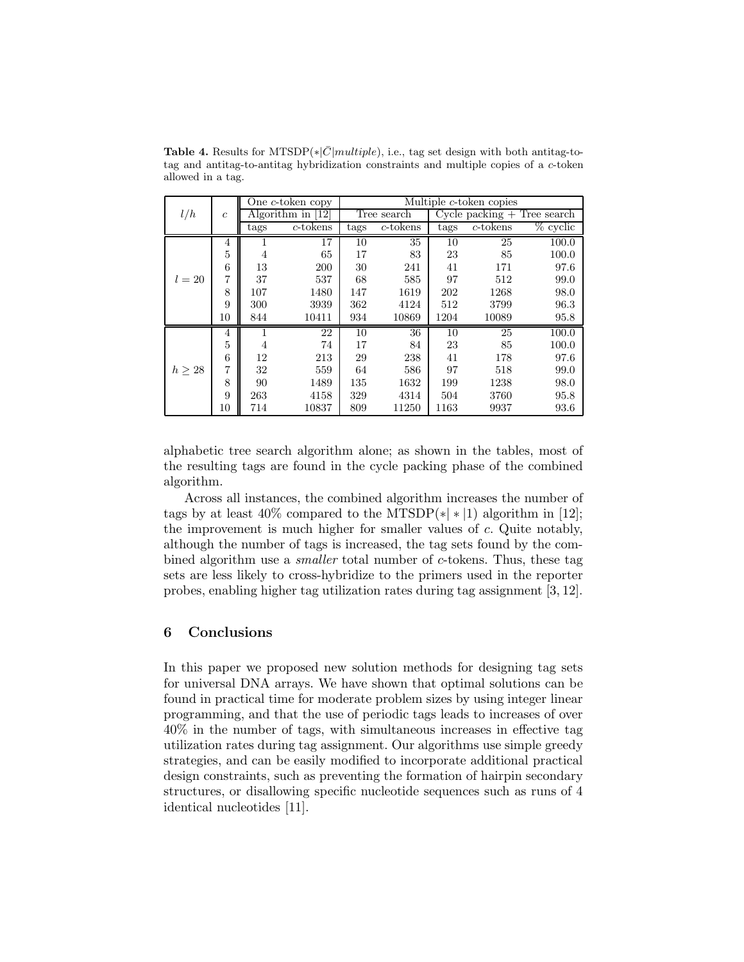|             |                |                   | One c-token copy | Multiple c-token copies |             |                                 |             |             |  |
|-------------|----------------|-------------------|------------------|-------------------------|-------------|---------------------------------|-------------|-------------|--|
| l/h         | $\mathfrak{c}$ | Algorithm in [12] |                  | Tree search             |             | $Cycle$ packing $+$ Tree search |             |             |  |
|             |                | tags              | c-tokens         | tags                    | $c$ -tokens | tags                            | $c$ -tokens | $\%$ cyclic |  |
|             | 4              |                   | 17               | 10                      | 35          | 10                              | 25          | 100.0       |  |
|             | 5              | 4                 | 65               | 17                      | 83          | 23                              | 85          | 100.0       |  |
|             | 6              | 13                | 200              | 30                      | 241         | 41                              | 171         | 97.6        |  |
| $l = 20$    | 7              | 37                | 537              | 68                      | 585         | 97                              | 512         | 99.0        |  |
|             | 8              | 107               | 1480             | 147                     | 1619        | 202                             | 1268        | 98.0        |  |
|             | 9              | 300               | 3939             | 362                     | 4124        | 512                             | 3799        | 96.3        |  |
|             | 10             | 844               | 10411            | 934                     | 10869       | 1204                            | 10089       | 95.8        |  |
|             | 4              |                   | 22               | 10                      | 36          | 10                              | 25          | 100.0       |  |
|             | 5              | 4                 | 74               | 17                      | 84          | 23                              | 85          | 100.0       |  |
|             | 6              | 12                | 213              | 29                      | 238         | 41                              | 178         | 97.6        |  |
| $h \geq 28$ | 7              | 32                | 559              | 64                      | 586         | 97                              | 518         | 99.0        |  |
|             | 8              | 90                | 1489             | 135                     | 1632        | 199                             | 1238        | 98.0        |  |
|             | 9              | 263               | 4158             | 329                     | 4314        | 504                             | 3760        | 95.8        |  |
|             | 10             | 714               | 10837            | 809                     | 11250       | 1163                            | 9937        | 93.6        |  |

Table 4. Results for MTSDP( $*|\bar{C}|$ multiple), i.e., tag set design with both antitag-totag and antitag-to-antitag hybridization constraints and multiple copies of a c-token allowed in a tag.

alphabetic tree search algorithm alone; as shown in the tables, most of the resulting tags are found in the cycle packing phase of the combined algorithm.

Across all instances, the combined algorithm increases the number of tags by at least  $40\%$  compared to the MTSDP( $\ast$ | $\ast$ |1) algorithm in [12]; the improvement is much higher for smaller values of c. Quite notably, although the number of tags is increased, the tag sets found by the combined algorithm use a smaller total number of c-tokens. Thus, these tag sets are less likely to cross-hybridize to the primers used in the reporter probes, enabling higher tag utilization rates during tag assignment [3, 12].

#### 6 Conclusions

In this paper we proposed new solution methods for designing tag sets for universal DNA arrays. We have shown that optimal solutions can be found in practical time for moderate problem sizes by using integer linear programming, and that the use of periodic tags leads to increases of over 40% in the number of tags, with simultaneous increases in effective tag utilization rates during tag assignment. Our algorithms use simple greedy strategies, and can be easily modified to incorporate additional practical design constraints, such as preventing the formation of hairpin secondary structures, or disallowing specific nucleotide sequences such as runs of 4 identical nucleotides [11].